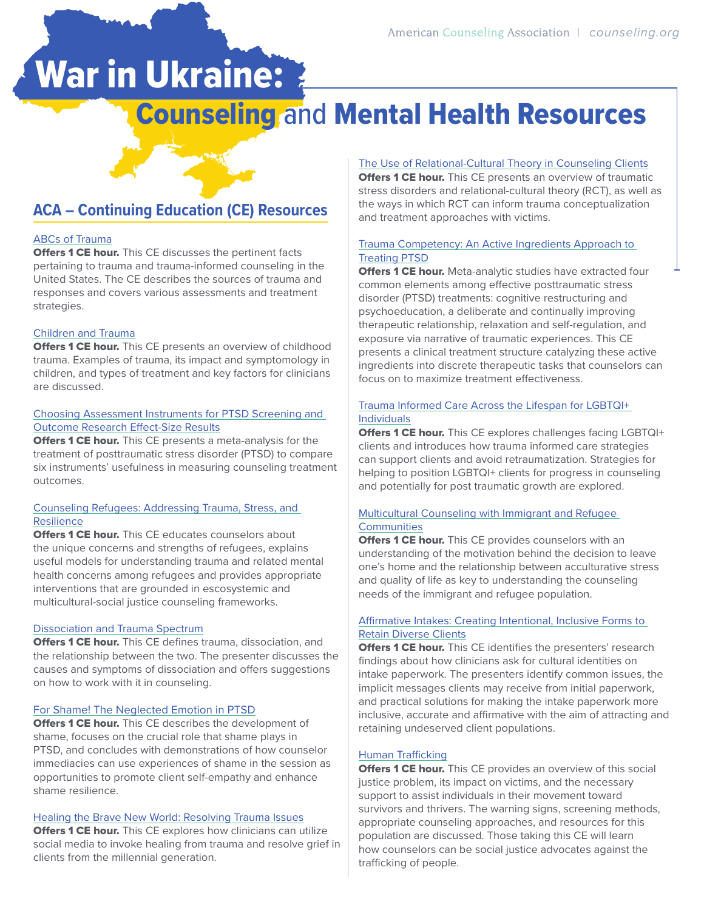# War in Ukraine:

## **Counseling and Mental Health Resources**

### **ACA – Continuing Education (CE) Resources**

### [ABCs of Trauma](https://imis.counseling.org/store/detail.aspx?id=PEWEB15009)

**Offers 1 CE hour.** This CE discusses the pertinent facts pertaining to trauma and trauma-informed counseling in the United States. The CE describes the sources of trauma and responses and covers various assessments and treatment strategies.

#### [Children and Trauma](https://imis.counseling.org/store/detail.aspx?id=PEWEB15010)

**Offers 1 CE hour.** This CE presents an overview of childhood trauma. Examples of trauma, its impact and symptomology in children, and types of treatment and key factors for clinicians are discussed.

### [Choosing Assessment Instruments for PTSD Screening and](https://imis.counseling.org/store/detail.aspx?id=PEJCD16001)  [Outcome Research Effect-Size Results](https://imis.counseling.org/store/detail.aspx?id=PEJCD16001)

**Offers 1 CE hour.** This CE presents a meta-analysis for the treatment of posttraumatic stress disorder (PTSD) to compare six instruments' usefulness in measuring counseling treatment outcomes.

### [Counseling Refugees: Addressing Trauma, Stress, and](https://imis.counseling.org/store/detail.aspx?id=PEWEB15012)  [Resilience](https://imis.counseling.org/store/detail.aspx?id=PEWEB15012)

**Offers 1 CE hour.** This CE educates counselors about the unique concerns and strengths of refugees, explains useful models for understanding trauma and related mental health concerns among refugees and provides appropriate interventions that are grounded in escosystemic and multicultural-social justice counseling frameworks.

### [Dissociation and Trauma Spectrum](https://imis.counseling.org/store/detail.aspx?id=PEWEB15011)

**Offers 1 CE hour.** This CE defines trauma, dissociation, and the relationship between the two. The presenter discusses the causes and symptoms of dissociation and offers suggestions on how to work with it in counseling.

#### [For Shame! The Neglected Emotion in PTSD](https://imis.counseling.org/store/detail.aspx?id=PEES17006)

**Offers 1 CE hour.** This CE describes the development of shame, focuses on the crucial role that shame plays in PTSD, and concludes with demonstrations of how counselor immediacies can use experiences of shame in the session as opportunities to promote client self-empathy and enhance shame resilience.

### [Healing the Brave New World: Resolving Trauma Issues](https://imis.counseling.org/store/detail.aspx?id=PEES19010)

**Offers 1 CE hour.** This CE explores how clinicians can utilize social media to invoke healing from trauma and resolve grief in clients from the millennial generation.

### [The Use of Relational-Cultural Theory in Counseling Clients](https://imis.counseling.org/store/detail.aspx?id=PEJCD18003)

**Offers 1 CE hour.** This CE presents an overview of traumatic stress disorders and relational-cultural theory (RCT), as well as the ways in which RCT can inform trauma conceptualization and treatment approaches with victims.

#### [Trauma Competency: An Active Ingredients Approach to](https://imis.counseling.org/store/detail.aspx?id=PEJCD17002)  [Treating PTSD](https://imis.counseling.org/store/detail.aspx?id=PEJCD17002)

**Offers 1 CE hour.** Meta-analytic studies have extracted four common elements among effective posttraumatic stress disorder (PTSD) treatments: cognitive restructuring and psychoeducation, a deliberate and continually improving therapeutic relationship, relaxation and self-regulation, and exposure via narrative of traumatic experiences. This CE presents a clinical treatment structure catalyzing these active ingredients into discrete therapeutic tasks that counselors can focus on to maximize treatment effectiveness.

### [Trauma Informed Care Across the Lifespan for LGBTQI+](https://imis.counseling.org/store/detail.aspx?id=PEES18041)  [Individuals](https://imis.counseling.org/store/detail.aspx?id=PEES18041)

Offers 1 CE hour. This CE explores challenges facing LGBTQI+ clients and introduces how trauma informed care strategies can support clients and avoid retraumatization. Strategies for helping to position LGBTQI+ clients for progress in counseling and potentially for post traumatic growth are explored.

### [Multicultural Counseling with Immigrant and Refugee](https://imis.counseling.org/store/detail.aspx?id=PEWEB17003)  **[Communities](https://imis.counseling.org/store/detail.aspx?id=PEWEB17003)**

**Offers 1 CE hour.** This CE provides counselors with an understanding of the motivation behind the decision to leave one's home and the relationship between acculturative stress and quality of life as key to understanding the counseling needs of the immigrant and refugee population.

### [Affirmative Intakes: Creating Intentional, Inclusive Forms to](https://imis.counseling.org/store/detail.aspx?id=PEES18019)  [Retain Diverse Clients](https://imis.counseling.org/store/detail.aspx?id=PEES18019)

**Offers 1 CE hour.** This CE identifies the presenters' research findings about how clinicians ask for cultural identities on intake paperwork. The presenters identify common issues, the implicit messages clients may receive from initial paperwork, and practical solutions for making the intake paperwork more inclusive, accurate and affirmative with the aim of attracting and retaining undeserved client populations.

### [Human Trafficking](https://imis.counseling.org/store/detail.aspx?id=PEWEB15013)

**Offers 1 CE hour.** This CE provides an overview of this social justice problem, its impact on victims, and the necessary support to assist individuals in their movement toward survivors and thrivers. The warning signs, screening methods, appropriate counseling approaches, and resources for this population are discussed. Those taking this CE will learn how counselors can be social justice advocates against the trafficking of people.